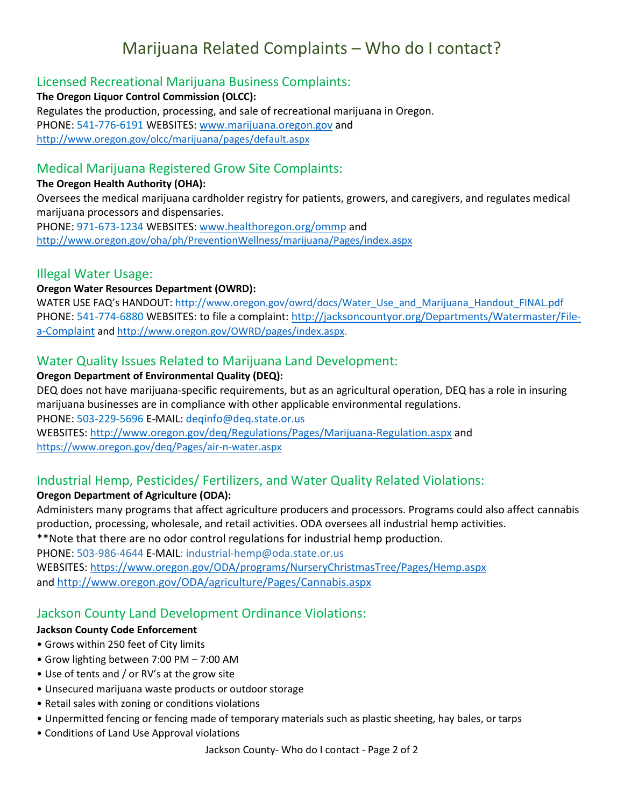# Marijuana Related Complaints – Who do I contact?

## Licensed Recreational Marijuana Business Complaints:

**The Oregon Liquor Control Commission (OLCC):**  Regulates the production, processing, and sale of recreational marijuana in Oregon. PHONE: 541-776-6191 WEBSITES: [www.marijuana.oregon.gov](http://www.marijuana.oregon.gov/) and <http://www.oregon.gov/olcc/marijuana/pages/default.aspx>

## Medical Marijuana Registered Grow Site Complaints:

#### **The Oregon Health Authority (OHA):**

Oversees the medical marijuana cardholder registry for patients, growers, and caregivers, and regulates medical marijuana processors and dispensaries.

PHONE: 971-673-1234 WEBSITES: [www.healthoregon.org/ommp](http://www.healthoregon.org/ommp) and <http://www.oregon.gov/oha/ph/PreventionWellness/marijuana/Pages/index.aspx>

## Illegal Water Usage:

#### **Oregon Water Resources Department (OWRD):**

WATER USE FAQ's HANDOUT: [http://www.oregon.gov/owrd/docs/Water\\_Use\\_and\\_Marijuana\\_Handout\\_FINAL.pdf](http://www.oregon.gov/owrd/docs/Water_Use_and_Marijuana_Handout_FINAL.pdf) PHONE: 541-774-6880 WEBSITES: to file a complaint: [http://jacksoncountyor.org/Departments/Watermaster/File](http://jacksoncountyor.org/Departments/Watermaster/File-a-Complaint)[a-Complaint](http://jacksoncountyor.org/Departments/Watermaster/File-a-Complaint) and [http://www.oregon.gov/OWRD/pages/index.aspx.](http://www.oregon.gov/OWRD/pages/index.aspx)

## Water Quality Issues Related to Marijuana Land Development:

#### **Oregon Department of Environmental Quality (DEQ):**

DEQ does not have marijuana-specific requirements, but as an agricultural operation, DEQ has a role in insuring marijuana businesses are in compliance with other applicable environmental regulations.

PHONE: 503-229-5696 E-MAIL: deqinfo@deq.state.or.us

WEBSITES:<http://www.oregon.gov/deq/Regulations/Pages/Marijuana-Regulation.aspx> and <https://www.oregon.gov/deq/Pages/air-n-water.aspx>

# Industrial Hemp, Pesticides/ Fertilizers, and Water Quality Related Violations:

### **Oregon Department of Agriculture (ODA):**

Administers many programs that affect agriculture producers and processors. Programs could also affect cannabis production, processing, wholesale, and retail activities. ODA oversees all industrial hemp activities.

\*\*Note that there are no odor control regulations for industrial hemp production.

PHONE: 503-986-4644 E-MAIL: industrial-hemp@oda.state.or.us WEBSITES: <https://www.oregon.gov/ODA/programs/NurseryChristmasTree/Pages/Hemp.aspx> and <http://www.oregon.gov/ODA/agriculture/Pages/Cannabis.aspx>

# Jackson County Land Development Ordinance Violations:

#### **Jackson County Code Enforcement**

- Grows within 250 feet of City limits
- Grow lighting between 7:00 PM 7:00 AM
- Use of tents and / or RV's at the grow site
- Unsecured marijuana waste products or outdoor storage
- Retail sales with zoning or conditions violations
- Unpermitted fencing or fencing made of temporary materials such as plastic sheeting, hay bales, or tarps
- Conditions of Land Use Approval violations

Jackson County- Who do I contact - Page 2 of 2